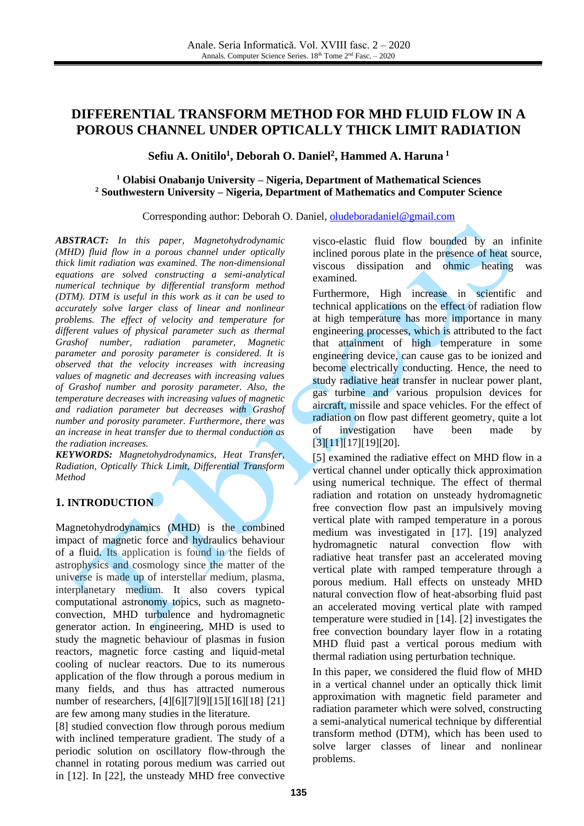# **DIFFERENTIAL TRANSFORM METHOD FOR MHD FLUID FLOW IN A POROUS CHANNEL UNDER OPTICALLY THICK LIMIT RADIATION**

## **Sefiu A. Onitilo<sup>1</sup> , Deborah O. Daniel<sup>2</sup> , Hammed A. Haruna <sup>1</sup>**

#### **<sup>1</sup> Olabisi Onabanjo University – Nigeria, Department of Mathematical Sciences <sup>2</sup> Southwestern University – Nigeria, Department of Mathematics and Computer Science**

#### Corresponding author: Deborah O. Daniel, [oludeboradaniel@gmail.com](mailto:oludeboradaniel@gmail.com)

*ABSTRACT: In this paper, Magnetohydrodynamic (MHD) fluid flow in a porous channel under optically thick limit radiation was examined. The non-dimensional equations are solved constructing a semi-analytical numerical technique by differential transform method (DTM). DTM is useful in this work as it can be used to accurately solve larger class of linear and nonlinear problems. The effect of velocity and temperature for different values of physical parameter such as thermal Grashof number, radiation parameter, Magnetic parameter and porosity parameter is considered. It is observed that the velocity increases with increasing values of magnetic and decreases with increasing values of Grashof number and porosity parameter. Also, the temperature decreases with increasing values of magnetic and radiation parameter but decreases with Grashof number and porosity parameter. Furthermore, there was an increase in heat transfer due to thermal conduction as the radiation increases.*

*KEYWORDS: Magnetohydrodynamics, Heat Transfer, Radiation, Optically Thick Limit, Differential Transform Method*

# **1. INTRODUCTION**

Magnetohydrodynamics (MHD) is the combined impact of magnetic force and hydraulics behaviour of a fluid. Its application is found in the fields of astrophysics and cosmology since the matter of the universe is made up of interstellar medium, plasma, interplanetary medium. It also covers typical computational astronomy topics, such as magnetoconvection, MHD turbulence and hydromagnetic generator action. In engineering, MHD is used to study the magnetic behaviour of plasmas in fusion reactors, magnetic force casting and liquid-metal cooling of nuclear reactors. Due to its numerous application of the flow through a porous medium in many fields, and thus has attracted numerous number of researchers, [\[4\]](#page-4-0)[\[6\]](#page-4-1)[\[7\]](#page-4-2)[\[9\]](#page-4-3)[\[15\]](#page-5-0)[\[16\]](#page-5-1)[\[18\]](#page-5-2) [\[21\]](#page-5-3) are few among many studies in the literature.

[\[8\]](#page-4-4) studied convection flow through porous medium with inclined temperature gradient. The study of a periodic solution on oscillatory flow-through the channel in rotating porous medium was carried out in [\[12\].](#page-5-4) In [\[22\],](#page-5-5) the unsteady MHD free convective visco-elastic fluid flow bounded by an infinite inclined porous plate in the presence of heat source, viscous dissipation and ohmic heating was examined*.* 

Furthermore, High increase in scientific and technical applications on the effect of radiation flow at high temperature has more importance in many engineering processes, which is attributed to the fact that attainment of high temperature in some engineering device, can cause gas to be ionized and become electrically conducting. Hence, the need to study radiative heat transfer in nuclear power plant, gas turbine and various propulsion devices for aircraft, missile and space vehicles. For the effect of radiation on flow past different geometry, quite a lot of investigation have been made by [\[3\]](#page-4-5)[\[11\]](#page-5-6)[\[17\]](#page-5-7)[\[19\]](#page-5-8)[\[20\].](#page-5-9)

[\[5\]](#page-4-6) examined the radiative effect on MHD flow in a vertical channel under optically thick approximation using numerical technique. The effect of thermal radiation and rotation on unsteady hydromagnetic free convection flow past an impulsively moving vertical plate with ramped temperature in a porous medium was investigated in [\[17\].](#page-5-7) [\[19\]](#page-5-8) analyzed hydromagnetic natural convection flow with radiative heat transfer past an accelerated moving vertical plate with ramped temperature through a porous medium. Hall effects on unsteady MHD natural convection flow of heat-absorbing fluid past an accelerated moving vertical plate with ramped temperature were studied in [\[14\].](#page-5-10) [\[2\]](#page-4-7) investigates the free convection boundary layer flow in a rotating MHD fluid past a vertical porous medium with thermal radiation using perturbation technique.

In this paper, we considered the fluid flow of MHD in a vertical channel under an optically thick limit approximation with magnetic field parameter and radiation parameter which were solved, constructing a semi-analytical numerical technique by differential transform method (DTM), which has been used to solve larger classes of linear and nonlinear problems.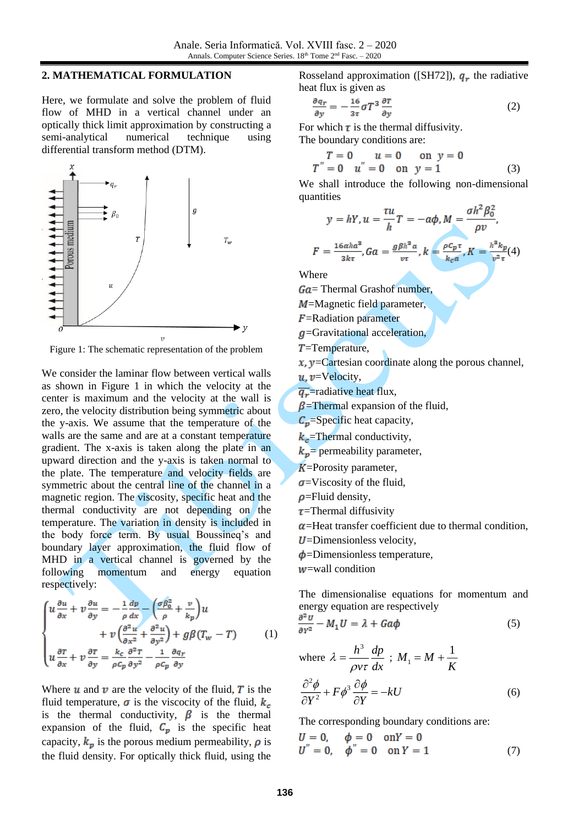#### **2. MATHEMATICAL FORMULATION**

Here, we formulate and solve the problem of fluid flow of MHD in a vertical channel under an optically thick limit approximation by constructing a semi-analytical numerical technique using differential transform method (DTM).



Figure 1: The schematic representation of the problem

We consider the laminar flow between vertical walls as shown in Figure 1 in which the velocity at the center is maximum and the velocity at the wall is zero, the velocity distribution being symmetric about the y-axis. We assume that the temperature of the walls are the same and are at a constant temperature gradient. The x-axis is taken along the plate in an upward direction and the y-axis is taken normal to the plate. The temperature and velocity fields are symmetric about the central line of the channel in a magnetic region. The viscosity, specific heat and the thermal conductivity are not depending on the temperature. The variation in density is included in the body force term. By usual Boussineq's and boundary layer approximation, the fluid flow of MHD in a vertical channel is governed by the following momentum and energy equation respectively:

$$
\begin{cases}\nu \frac{\partial u}{\partial x} + v \frac{\partial u}{\partial y} = -\frac{1}{\rho} \frac{dp}{dx} - \left(\frac{\sigma \beta_0^2}{\rho} + \frac{v}{k_p}\right) u \\
+ v \left(\frac{\partial^2 u}{\partial x^2} + \frac{\partial^2 u}{\partial y^2}\right) + g \beta (T_w - T) \\
u \frac{\partial \tau}{\partial x} + v \frac{\partial \tau}{\partial y} = \frac{k_c}{\rho c_p} \frac{\partial^2 \tau}{\partial y^2} - \frac{1}{\rho c_p} \frac{\partial q_r}{\partial y}\n\end{cases} (1)
$$

Where  $u$  and  $v$  are the velocity of the fluid,  $\overline{T}$  is the fluid temperature,  $\sigma$  is the viscocity of the fluid,  $k_c$ is the thermal conductivity,  $\beta$  is the thermal expansion of the fluid,  $C_p$  is the specific heat capacity,  $k_p$  is the porous medium permeability,  $\rho$  is the fluid density. For optically thick fluid, using the

Rosseland approximation ([SH72]),  $q_r$  the radiative heat flux is given as

$$
\frac{\partial q_r}{\partial y} = -\frac{16}{3\tau}\sigma T^3 \frac{\partial T}{\partial y} \tag{2}
$$

For which  $\tau$  is the thermal diffusivity. The boundary conditions are:

$$
T = 0 \t u = 0 \t on y = 0T'' = 0 \t u'' = 0 \t on y = 1
$$
 (3)

We shall introduce the following non-dimensional quantities

$$
y = hY, u = \frac{\tau u}{h}T = -a\phi, M = \frac{\sigma h^2 \beta_0^2}{\rho v},
$$

$$
= \frac{16aha^2}{2h} \cdot 6a = \frac{g\beta h^2 a}{h} \cdot k = \frac{\rho c_p \tau}{h} \cdot K = \frac{h^2 k_p}{h} (4)
$$

$$
F = \frac{16\alpha h a^8}{3k\tau}, Ga = \frac{g\beta h^8 a}{\nu\tau}, k = \frac{\rho c_p \tau}{k_c a}, K = \frac{h^2 k_p}{\nu^2 \tau} (4
$$

Where

 $Ga$  = Thermal Grashof number,

 $M$ =Magnetic field parameter,

 $F$ =Radiation parameter

 $q$ =Gravitational acceleration,

 $T$ =Temperature,

 $x, y =$ Cartesian coordinate along the porous channel,

 $u, v =$ Velocity,

 $\overline{q_r}$ =radiative heat flux,

 $\beta$ =Thermal expansion of the fluid,

 $C_p$ =Specific heat capacity,

 $k_c$ =Thermal conductivity,

 $k_p$ = permeability parameter,

 $K$ =Porosity parameter,

- $\sigma$ =Viscosity of the fluid,
- $\rho$ =Fluid density,
- $\tau$ =Thermal diffusivity

 $\alpha$ =Heat transfer coefficient due to thermal condition.

- $U$ =Dimensionless velocity,
- $\phi$ =Dimensionless temperature,

 $w$ =wall condition

The dimensionalise equations for momentum and energy equation are respectively

$$
\frac{\partial^2 U}{\partial Y^2} - M_1 U = \lambda + G a \phi \tag{5}
$$

where 
$$
\lambda = \frac{h^3}{\rho v \tau} \frac{dp}{dx}
$$
;  $M_1 = M + \frac{1}{K}$   

$$
\frac{\partial^2 \phi}{\partial Y^2} + F \phi^3 \frac{\partial \phi}{\partial Y} = -kU
$$
(6)

The corresponding boundary conditions are:

$$
U = 0, \quad \phi = 0 \quad \text{on} Y = 0 U'' = 0, \quad \phi'' = 0 \quad \text{on} Y = 1
$$
 (7)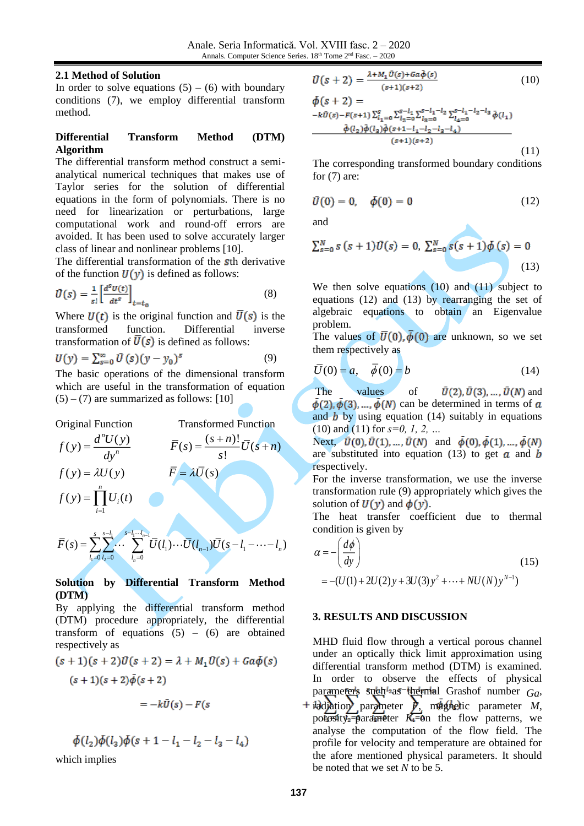### **2.1 Method of Solution**

In order to solve equations  $(5) - (6)$  with boundary conditions (7), we employ differential transform method.

#### **Differential Transform Method (DTM) Algorithm**

The differential transform method construct a semianalytical numerical techniques that makes use of Taylor series for the solution of differential equations in the form of polynomials. There is no need for linearization or perturbations, large computational work and round-off errors are avoided. It has been used to solve accurately larger class of linear and nonlinear problems [\[10\].](#page-4-8)

The differential transformation of the sth derivative of the function  $U(y)$  is defined as follows:

$$
\bar{U}(s) = \frac{1}{s!} \left[ \frac{d^s v(t)}{dt^s} \right]_{t=t_0}
$$
\n(8)

Where  $U(t)$  is the original function and  $\overline{U}(s)$  is the transformed function. Differential inverse transformation of  $\overline{U}(s)$  is defined as follows:

$$
U(y) = \sum_{s=0}^{\infty} \bar{U}(s)(y - y_0)^s
$$
 (9)

The basic operations of the dimensional transform which are useful in the transformation of equation  $(5) - (7)$  are summarized as follows: [10]

Original Function Transformed Function  $(y) = \frac{d^n U(y)}{dx^n}$ *n*  $f(y) = \frac{d^n U(y)}{dy^n}$  $=\frac{d^nU(y)}{dy^n}$   $\qquad \qquad \bar{F}(s) = \frac{(s+n)!}{s!}\bar{U}(s+n)$  $\overline{F}(s) = \frac{(s+n)!}{U(s+n)}$ *s*  $=\frac{(s+n)!}{U(s+1)}$  $f(y) = \lambda U(y)$   $\overline{F} = \lambda \overline{U}(s)$ 1  $(y) = \prod^n U_i(t)$ *i i*  $f(y) = \prod U_i(t)$ =  $=$   $\prod$  $s \quad s-l_1 \quad s-l_1 \quad l$ *L*<sub>1</sub> → 3<sup>-1</sup>

$$
\overline{F}(s) = \sum_{l_1=0}^{s} \sum_{l_2=0}^{s-l_1} \cdots \sum_{l_n=0}^{s-l_1 \cdots l_{n-1}} \overline{U}(l_1) \cdots \overline{U}(l_{n-1}) \overline{U}(s-l_1-\cdots-l_n)
$$

#### **Solution by Differential Transform Method (DTM)**

By applying the differential transform method (DTM) procedure appropriately, the differential transform of equations  $(5) - (6)$  are obtained respectively as

$$
(s+1)(s+2)\overline{U}(s+2) = \lambda + M_1\overline{U}(s) + Ga\phi(s)
$$
  

$$
(s+1)(s+2)\overline{\phi}(s+2)
$$

$$
=-k\bar{U}(s)-F(s)
$$

$$
\phi(l_2)\phi(l_3)\phi(s+1-l_1-l_2-l_3-l_4)
$$

which implies

$$
\bar{U}(s+2) = \frac{\lambda + M_1 \bar{U}(s) + G a \bar{\phi}(s)}{(s+1)(s+2)}
$$
(10)  
\n
$$
\phi(s+2) =
$$
\n
$$
-k\bar{U}(s) - F(s+1) \sum_{l_1=0}^{s} \sum_{l_2=0}^{s-l_1} \sum_{l_3=0}^{s-l_1-l_2} \sum_{l_4=0}^{s-l_1-l_2-l_3} \bar{\phi}(l_1)
$$
\n
$$
\frac{\bar{\phi}(l_2)\bar{\phi}(l_3)\bar{\phi}(s+1-l_1-l_2-l_3-l_4)}{(s+1)(s+2)}
$$
(11)

The corresponding transformed boundary conditions for  $(7)$  are:

$$
\bar{U}(0) = 0, \quad \bar{\phi}(0) = 0 \tag{12}
$$

and

$$
\sum_{s=0}^{N} s (s+1) \bar{U}(s) = 0, \ \sum_{s=0}^{N} s(s+1) \bar{\phi}(s) = 0
$$
\n(13)

▲

We then solve equations (10) and (11) subject to equations (12) and (13) by rearranging the set of algebraic equations to obtain an Eigenvalue problem.

The values of  $\overline{U}(0), \overline{\phi}(0)$  are unknown, so we set them respectively as

$$
\overline{U}(0) = a, \quad \overline{\phi}(0) = b \tag{14}
$$

The values of  $\bar{U}(2), \bar{U}(3), ..., \bar{U}(N)$  and  $\dot{\phi}(2), \dot{\phi}(3), \dots, \dot{\phi}(N)$  can be determined in terms of a and  $\boldsymbol{b}$  by using equation (14) suitably in equations (10) and (11) for *s=0, 1, 2, …*

Next,  $\overline{U}(0), \overline{U}(1), \ldots, \overline{U}(N)$  and  $\overline{\phi}(0), \overline{\phi}(1), \ldots, \overline{\phi}(N)$ are substituted into equation (13) to get  $\alpha$  and  $\dot{b}$ respectively.

For the inverse transformation, we use the inverse transformation rule (9) appropriately which gives the solution of  $U(y)$  and  $\phi(y)$ .

The heat transfer coefficient due to thermal condition is given by

$$
\alpha = -\left(\frac{d\phi}{dy}\right)
$$
\n
$$
= -(U(1) + 2U(2)y + 3U(3)y^{2} + \dots + NU(N)y^{N-1})
$$
\n(15)

#### **3. RESULTS AND DISCUSSION**

MHD fluid flow through a vertical porous channel under an optically thick limit approximation using differential transform method (DTM) is examined. In order to observe the effects of physical parameters such<sup>1</sup>as<sup>-1</sup>thermal Grashof number *Ga*,  $\frac{1}{2}$ dd $\frac{1}{2}$ dion parameter *M*, magnetic parameter *M*, porosity<sup>-</sup> $\beta$ arameter  $K = \theta$ n the flow patterns, we analyse the computation of the flow field. The profile for velocity and temperature are obtained for the afore mentioned physical parameters. It should be noted that we set *N* to be 5.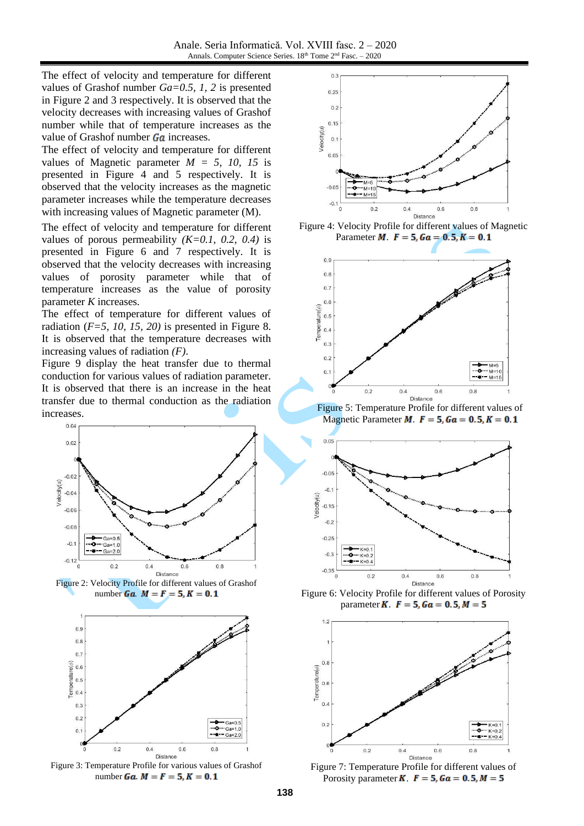The effect of velocity and temperature for different values of Grashof number *Ga=0.5, 1, 2* is presented in Figure 2 and 3 respectively. It is observed that the velocity decreases with increasing values of Grashof number while that of temperature increases as the value of Grashof number  $Ga$  increases.

The effect of velocity and temperature for different values of Magnetic parameter  $M = 5$ , 10, 15 is presented in Figure 4 and 5 respectively. It is observed that the velocity increases as the magnetic parameter increases while the temperature decreases with increasing values of Magnetic parameter (M).

The effect of velocity and temperature for different values of porous permeability *(K=0.1, 0.2, 0.4)* is presented in Figure 6 and 7 respectively. It is observed that the velocity decreases with increasing values of porosity parameter while that of temperature increases as the value of porosity parameter *K* increases.

The effect of temperature for different values of radiation (*F=5, 10, 15, 20)* is presented in Figure 8. It is observed that the temperature decreases with increasing values of radiation *(F)*.

Figure 9 display the heat transfer due to thermal conduction for various values of radiation parameter. It is observed that there is an increase in the heat transfer due to thermal conduction as the radiation increases.



Figure 2: Velocity Profile for different values of Grashof number *Ga*  $M = F = 5, K = 0.1$ 



Figure 3: Temperature Profile for various values of Grashof number *Ga.*  $M = F = 5, K = 0.1$ 







Figure 5: Temperature Profile for different values of Magnetic Parameter  $M$ .  $F = 5$ ,  $Ga = 0.5$ ,  $K = 0.1$ 



Figure 6: Velocity Profile for different values of Porosity parameter **K**.  $F = 5$ ,  $Ga = 0.5$ ,  $M = 5$ 



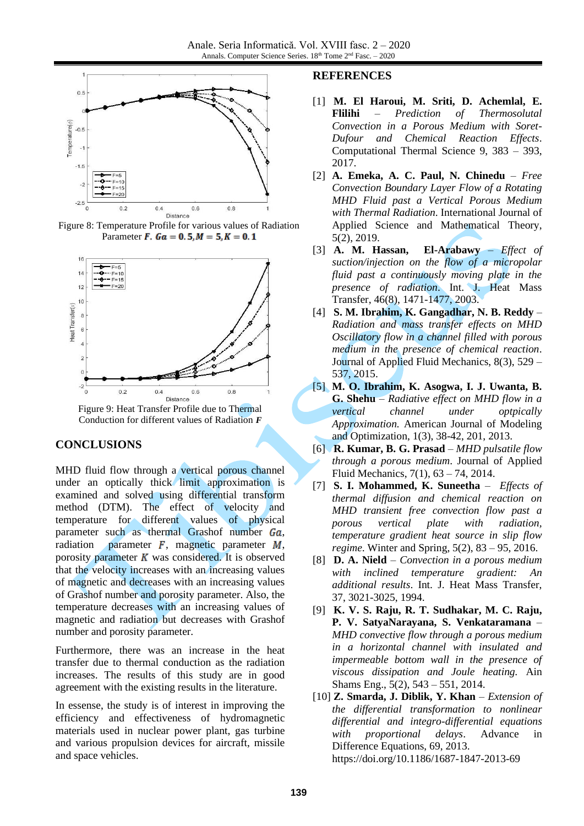

Figure 8: Temperature Profile for various values of Radiation Parameter **F**.  $Ga = 0.5, M = 5, K = 0.1$ 



Figure 9: Heat Transfer Profile due to Thermal Conduction for different values of Radiation *F*

# **CONCLUSIONS**

MHD fluid flow through a vertical porous channel under an optically thick limit approximation is examined and solved using differential transform method (DTM). The effect of velocity and temperature for different values of physical parameter such as thermal Grashof number  $Ga$ , radiation parameter  $F$ , magnetic parameter  $M$ , porosity parameter  $K$  was considered. It is observed that the velocity increases with an increasing values of magnetic and decreases with an increasing values of Grashof number and porosity parameter. Also, the temperature decreases with an increasing values of magnetic and radiation but decreases with Grashof number and porosity parameter.

Furthermore, there was an increase in the heat transfer due to thermal conduction as the radiation increases. The results of this study are in good agreement with the existing results in the literature.

In essense, the study is of interest in improving the efficiency and effectiveness of hydromagnetic materials used in nuclear power plant, gas turbine and various propulsion devices for aircraft, missile and space vehicles.

#### **REFERENCES**

- [1] **M. El Haroui, M. Sriti, D. Achemlal, E. Flilihi** – *Prediction of Thermosolutal Convection in a Porous Medium with Soret-Dufour and Chemical Reaction Effects*. Computational Thermal Science 9, 383 – 393, 2017.
- <span id="page-4-7"></span>[2] **A. Emeka, A. C. Paul, N. Chinedu** – *Free Convection Boundary Layer Flow of a Rotating MHD Fluid past a Vertical Porous Medium with Thermal Radiation*. International Journal of Applied Science and Mathematical Theory, 5(2), 2019.
- <span id="page-4-5"></span>[3] **A. M. Hassan, El-Arabawy** – *Effect of suction/injection on the flow of a micropolar fluid past a continuously moving plate in the presence of radiation*. Int. J. Heat Mass Transfer, 46(8), 1471-1477, 2003.
- <span id="page-4-0"></span>[4] **S. M. Ibrahim, K. Gangadhar, N. B. Reddy** – *Radiation and mass transfer effects on MHD Oscillatory flow in a channel filled with porous medium in the presence of chemical reaction*. Journal of Applied Fluid Mechanics, 8(3), 529 – 537, 2015.
- <span id="page-4-6"></span>[5] **M. O. Ibrahim, K. Asogwa, I. J. Uwanta, B. G. Shehu** – *Radiative effect on MHD flow in a vertical channel under optpically Approximation.* American Journal of Modeling and Optimization, 1(3), 38-42, 201, 2013.
- <span id="page-4-1"></span>[6] **R. Kumar, B. G. Prasad** – *MHD pulsatile flow through a porous medium*. Journal of Applied Fluid Mechanics, 7(1), 63 – 74, 2014.
- <span id="page-4-2"></span>[7] **S. I. Mohammed, K. Suneetha** – *Effects of thermal diffusion and chemical reaction on MHD transient free convection flow past a porous vertical plate with radiation, temperature gradient heat source in slip flow regime*. Winter and Spring, 5(2), 83 – 95, 2016.
- <span id="page-4-4"></span>[8] **D. A. Nield** – *Convection in a porous medium with inclined temperature gradient: An additional results*. Int. J. Heat Mass Transfer, 37, 3021-3025, 1994.
- <span id="page-4-3"></span>[9] **K. V. S. Raju, R. T. Sudhakar, M. C. Raju, P. V. SatyaNarayana, S. Venkataramana** – *MHD convective flow through a porous medium in a horizontal channel with insulated and impermeable bottom wall in the presence of viscous dissipation and Joule heating.* Ain Shams Eng., 5(2), 543 – 551, 2014.
- <span id="page-4-8"></span>[10] **Z. Smarda, J. Diblik, Y. Khan** – *Extension of the differential transformation to nonlinear differential and integro-differential equations with proportional delays*. Advance in Difference Equations, 69, 2013. https://doi.org/10.1186/1687-1847-2013-69